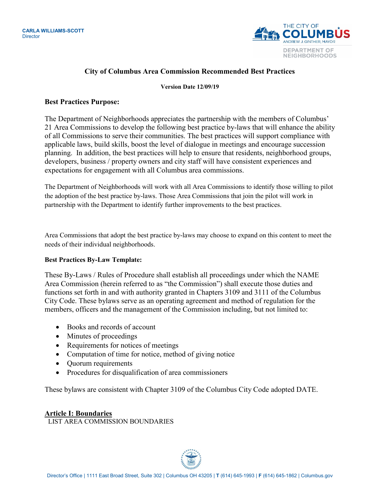

# **City of Columbus Area Commission Recommended Best Practices**

#### **Version Date 12/09/19**

#### **Best Practices Purpose:**

The Department of Neighborhoods appreciates the partnership with the members of Columbus' 21 Area Commissions to develop the following best practice by-laws that will enhance the ability of all Commissions to serve their communities. The best practices will support compliance with applicable laws, build skills, boost the level of dialogue in meetings and encourage succession planning. In addition, the best practices will help to ensure that residents, neighborhood groups, developers, business / property owners and city staff will have consistent experiences and expectations for engagement with all Columbus area commissions.

The Department of Neighborhoods will work with all Area Commissions to identify those willing to pilot the adoption of the best practice by-laws. Those Area Commissions that join the pilot will work in partnership with the Department to identify further improvements to the best practices.

Area Commissions that adopt the best practice by-laws may choose to expand on this content to meet the needs of their individual neighborhoods.

#### **Best Practices By-Law Template:**

These By-Laws / Rules of Procedure shall establish all proceedings under which the NAME Area Commission (herein referred to as "the Commission") shall execute those duties and functions set forth in and with authority granted in Chapters 3109 and 3111 of the Columbus City Code. These bylaws serve as an operating agreement and method of regulation for the members, officers and the management of the Commission including, but not limited to:

- Books and records of account
- Minutes of proceedings
- Requirements for notices of meetings
- Computation of time for notice, method of giving notice
- Quorum requirements
- Procedures for disqualification of area commissioners

These bylaws are consistent with Chapter 3109 of the Columbus City Code adopted DATE.

# **Article I: Boundaries**

LIST AREA COMMISSION BOUNDARIES

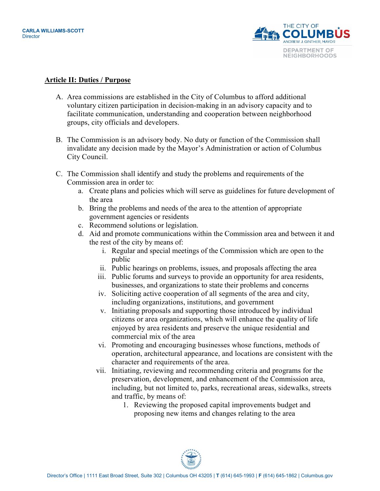

#### **Article II: Duties / Purpose**

- A. Area commissions are established in the City of Columbus to afford additional voluntary citizen participation in decision-making in an advisory capacity and to facilitate communication, understanding and cooperation between neighborhood groups, city officials and developers.
- B. The Commission is an advisory body. No duty or function of the Commission shall invalidate any decision made by the Mayor's Administration or action of Columbus City Council.
- C. The Commission shall identify and study the problems and requirements of the Commission area in order to:
	- a. Create plans and policies which will serve as guidelines for future development of the area
	- b. Bring the problems and needs of the area to the attention of appropriate government agencies or residents
	- c. Recommend solutions or legislation.
	- d. Aid and promote communications within the Commission area and between it and the rest of the city by means of:
		- i. Regular and special meetings of the Commission which are open to the public
		- ii. Public hearings on problems, issues, and proposals affecting the area
		- iii. Public forums and surveys to provide an opportunity for area residents, businesses, and organizations to state their problems and concerns
		- iv. Soliciting active cooperation of all segments of the area and city, including organizations, institutions, and government
		- v. Initiating proposals and supporting those introduced by individual citizens or area organizations, which will enhance the quality of life enjoyed by area residents and preserve the unique residential and commercial mix of the area
		- vi. Promoting and encouraging businesses whose functions, methods of operation, architectural appearance, and locations are consistent with the character and requirements of the area.
		- vii. Initiating, reviewing and recommending criteria and programs for the preservation, development, and enhancement of the Commission area, including, but not limited to, parks, recreational areas, sidewalks, streets and traffic, by means of:
			- 1. Reviewing the proposed capital improvements budget and proposing new items and changes relating to the area

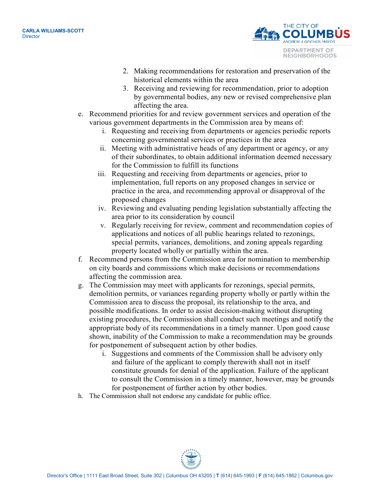

- 2. Making recommendations for restoration and preservation of the historical elements within the area
- 3. Receiving and reviewing for recommendation, prior to adoption by governmental bodies, any new or revised comprehensive plan affecting the area.
- e. Recommend priorities for and review government services and operation of the various government departments in the Commission area by means of:
	- i. Requesting and receiving from departments or agencies periodic reports concerning governmental services or practices in the area
	- ii. Meeting with administrative heads of any department or agency, or any of their subordinates, to obtain additional information deemed necessary for the Commission to fulfill its functions
	- iii. Requesting and receiving from departments or agencies, prior to implementation, full reports on any proposed changes in service or practice in the area, and recommending approval or disapproval of the proposed changes
	- iv. Reviewing and evaluating pending legislation substantially affecting the area prior to its consideration by council
	- v. Regularly receiving for review, comment and recommendation copies of applications and notices of all public hearings related to rezonings, special permits, variances, demolitions, and zoning appeals regarding property located wholly or partially within the area.
- f. Recommend persons from the Commission area for nomination to membership on city boards and commissions which make decisions or recommendations affecting the commission area.
- g. The Commission may meet with applicants for rezonings, special permits, demolition permits, or variances regarding property wholly or partly within the Commission area to discuss the proposal, its relationship to the area, and possible modifications. In order to assist decision-making without disrupting existing procedures, the Commission shall conduct such meetings and notify the appropriate body of its recommendations in a timely manner. Upon good cause shown, inability of the Commission to make a recommendation may be grounds for postponement of subsequent action by other bodies.
	- i. Suggestions and comments of the Commission shall be advisory only and failure of the applicant to comply therewith shall not in itself constitute grounds for denial of the application. Failure of the applicant to consult the Commission in a timely manner, however, may be grounds for postponement of further action by other bodies.
- h. The Commission shall not endorse any candidate for public office.

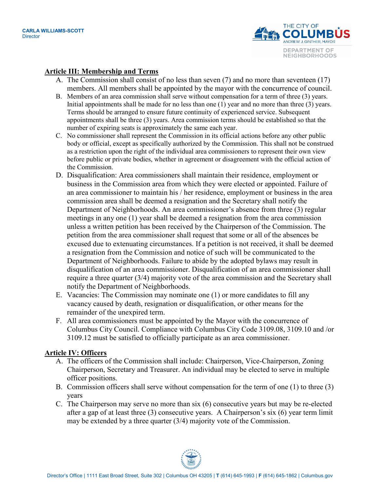

#### **Article III: Membership and Terms**

- A. The Commission shall consist of no less than seven (7) and no more than seventeen (17) members. All members shall be appointed by the mayor with the concurrence of council.
- B. Members of an area commission shall serve without compensation for a term of three (3) years. Initial appointments shall be made for no less than one (1) year and no more than three (3) years. Terms should be arranged to ensure future continuity of experienced service. Subsequent appointments shall be three (3) years. Area commission terms should be established so that the number of expiring seats is approximately the same each year.
- C. No commissioner shall represent the Commission in its official actions before any other public body or official, except as specifically authorized by the Commission. This shall not be construed as a restriction upon the right of the individual area commissioners to represent their own view before public or private bodies, whether in agreement or disagreement with the official action of the Commission.
- D. Disqualification: Area commissioners shall maintain their residence, employment or business in the Commission area from which they were elected or appointed. Failure of an area commissioner to maintain his / her residence, employment or business in the area commission area shall be deemed a resignation and the Secretary shall notify the Department of Neighborhoods. An area commissioner's absence from three (3) regular meetings in any one (1) year shall be deemed a resignation from the area commission unless a written petition has been received by the Chairperson of the Commission. The petition from the area commissioner shall request that some or all of the absences be excused due to extenuating circumstances. If a petition is not received, it shall be deemed a resignation from the Commission and notice of such will be communicated to the Department of Neighborhoods. Failure to abide by the adopted bylaws may result in disqualification of an area commissioner. Disqualification of an area commissioner shall require a three quarter (3/4) majority vote of the area commission and the Secretary shall notify the Department of Neighborhoods.
- E. Vacancies: The Commission may nominate one (1) or more candidates to fill any vacancy caused by death, resignation or disqualification, or other means for the remainder of the unexpired term.
- F. All area commissioners must be appointed by the Mayor with the concurrence of Columbus City Council. Compliance with Columbus City Code 3109.08, 3109.10 and /or 3109.12 must be satisfied to officially participate as an area commissioner.

#### **Article IV: Officers**

- A. The officers of the Commission shall include: Chairperson, Vice-Chairperson, Zoning Chairperson, Secretary and Treasurer. An individual may be elected to serve in multiple officer positions.
- B. Commission officers shall serve without compensation for the term of one (1) to three (3) years
- C. The Chairperson may serve no more than six (6) consecutive years but may be re-elected after a gap of at least three (3) consecutive years. A Chairperson's six (6) year term limit may be extended by a three quarter (3/4) majority vote of the Commission.

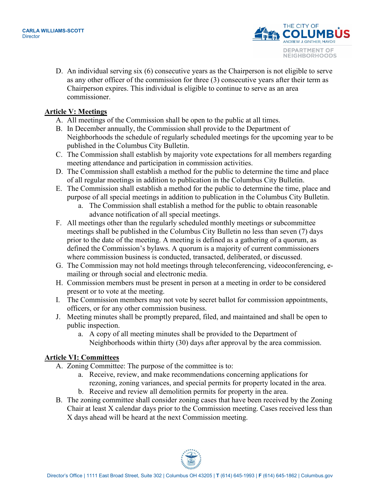

D. An individual serving six (6) consecutive years as the Chairperson is not eligible to serve as any other officer of the commission for three (3) consecutive years after their term as Chairperson expires. This individual is eligible to continue to serve as an area commissioner.

# **Article V: Meetings**

- A. All meetings of the Commission shall be open to the public at all times.
- B. In December annually, the Commission shall provide to the Department of Neighborhoods the schedule of regularly scheduled meetings for the upcoming year to be published in the Columbus City Bulletin.
- C. The Commission shall establish by majority vote expectations for all members regarding meeting attendance and participation in commission activities.
- D. The Commission shall establish a method for the public to determine the time and place of all regular meetings in addition to publication in the Columbus City Bulletin.
- E. The Commission shall establish a method for the public to determine the time, place and purpose of all special meetings in addition to publication in the Columbus City Bulletin.
	- a. The Commission shall establish a method for the public to obtain reasonable advance notification of all special meetings.
- F. All meetings other than the regularly scheduled monthly meetings or subcommittee meetings shall be published in the Columbus City Bulletin no less than seven (7) days prior to the date of the meeting. A meeting is defined as a gathering of a quorum, as defined the Commission's bylaws. A quorum is a majority of current commissioners where commission business is conducted, transacted, deliberated, or discussed.
- G. The Commission may not hold meetings through teleconferencing, videoconferencing, emailing or through social and electronic media.
- H. Commission members must be present in person at a meeting in order to be considered present or to vote at the meeting.
- I. The Commission members may not vote by secret ballot for commission appointments, officers, or for any other commission business.
- J. Meeting minutes shall be promptly prepared, filed, and maintained and shall be open to public inspection.
	- a. A copy of all meeting minutes shall be provided to the Department of Neighborhoods within thirty (30) days after approval by the area commission.

# **Article VI: Committees**

- A. Zoning Committee: The purpose of the committee is to:
	- a. Receive, review, and make recommendations concerning applications for rezoning, zoning variances, and special permits for property located in the area.
	- b. Receive and review all demolition permits for property in the area.
- B. The zoning committee shall consider zoning cases that have been received by the Zoning Chair at least X calendar days prior to the Commission meeting. Cases received less than X days ahead will be heard at the next Commission meeting.

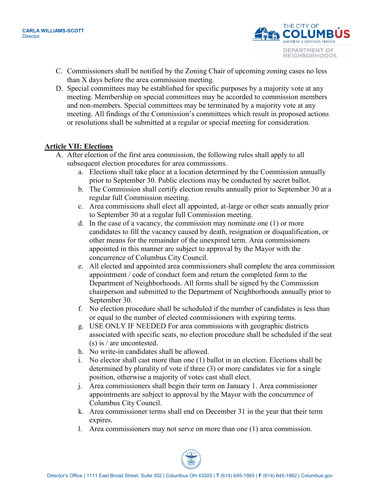

- C. Commissioners shall be notified by the Zoning Chair of upcoming zoning cases no less than X days before the area commission meeting.
- D. Special committees may be established for specific purposes by a majority vote at any meeting. Membership on special committees may be accorded to commission members and non-members. Special committees may be terminated by a majority vote at any meeting. All findings of the Commission's committees which result in proposed actions or resolutions shall be submitted at a regular or special meeting for consideration.

#### **Article VII: Elections**

- A. After election of the first area commission, the following rules shall apply to all subsequent election procedures for area commissions.
	- a. Elections shall take place at a location determined by the Commission annually prior to September 30. Public elections may be conducted by secret ballot.
	- b. The Commission shall certify election results annually prior to September 30 at a regular full Commission meeting.
	- c. Area commissions shall elect all appointed, at-large or other seats annually prior to September 30 at a regular full Commission meeting.
	- d. In the case of a vacancy, the commission may nominate one (1) or more candidates to fill the vacancy caused by death, resignation or disqualification, or other means for the remainder of the unexpired term. Area commissioners appointed in this manner are subject to approval by the Mayor with the concurrence of Columbus City Council.
	- e. All elected and appointed area commissioners shall complete the area commission appointment / code of conduct form and return the completed form to the Department of Neighborhoods. All forms shall be signed by the Commission chairperson and submitted to the Department of Neighborhoods annually prior to September 30.
	- f. No election procedure shall be scheduled if the number of candidates is less than or equal to the number of elected commissioners with expiring terms.
	- g. USE ONLY IF NEEDED For area commissions with geographic districts associated with specific seats, no election procedure shall be scheduled if the seat (s) is / are uncontested.
	- h. No write-in candidates shall be allowed.
	- i. No elector shall cast more than one (1) ballot in an election. Elections shall be determined by plurality of vote if three (3) or more candidates vie for a single position, otherwise a majority of votes cast shall elect.
	- j. Area commissioners shall begin their term on January 1. Area commissioner appointments are subject to approval by the Mayor with the concurrence of Columbus City Council.
	- k. Area commissioner terms shall end on December 31 in the year that their term expires.
	- l. Area commissioners may not serve on more than one (1) area commission.

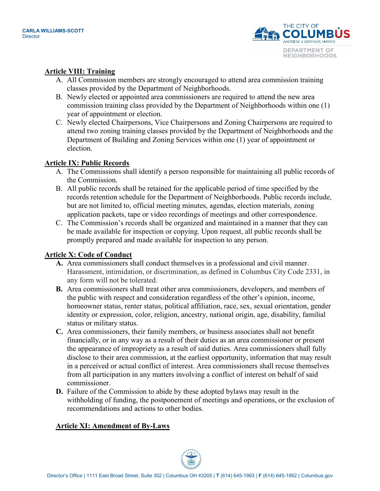

# **Article VIII: Training**

- A. All Commission members are strongly encouraged to attend area commission training classes provided by the Department of Neighborhoods.
- B. Newly elected or appointed area commissioners are required to attend the new area commission training class provided by the Department of Neighborhoods within one (1) year of appointment or election.
- C. Newly elected Chairpersons, Vice Chairpersons and Zoning Chairpersons are required to attend two zoning training classes provided by the Department of Neighborhoods and the Department of Building and Zoning Services within one (1) year of appointment or election.

# **Article IX: Public Records**

- A. The Commissions shall identify a person responsible for maintaining all public records of the Commission.
- B. All public records shall be retained for the applicable period of time specified by the records retention schedule for the Department of Neighborhoods. Public records include, but are not limited to, official meeting minutes, agendas, election materials, zoning application packets, tape or video recordings of meetings and other correspondence.
- C. The Commission's records shall be organized and maintained in a manner that they can be made available for inspection or copying. Upon request, all public records shall be promptly prepared and made available for inspection to any person.

# **Article X: Code of Conduct**

- **A.** Area commissioners shall conduct themselves in a professional and civil manner. Harassment, intimidation, or discrimination, as defined in Columbus City Code 2331, in any form will not be tolerated.
- **B.** Area commissioners shall treat other area commissioners, developers, and members of the public with respect and consideration regardless of the other's opinion, income, homeowner status, renter status, political affiliation, race, sex, sexual orientation, gender identity or expression, color, religion, ancestry, national origin, age, disability, familial status or military status.
- **C.** Area commissioners, their family members, or business associates shall not benefit financially, or in any way as a result of their duties as an area commissioner or present the appearance of impropriety as a result of said duties. Area commissioners shall fully disclose to their area commission, at the earliest opportunity, information that may result in a perceived or actual conflict of interest. Area commissioners shall recuse themselves from all participation in any matters involving a conflict of interest on behalf of said commissioner.
- **D.** Failure of the Commission to abide by these adopted bylaws may result in the withholding of funding, the postponement of meetings and operations, or the exclusion of recommendations and actions to other bodies.

# **Article XI: Amendment of By-Laws**